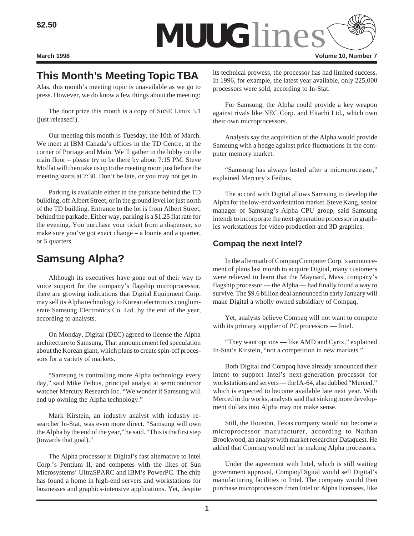

# **This Month's Meeting Topic TBA**

Alas, this month's meeting topic is unavailable as we go to press. However, we do know a few things about the meeting:

The door prize this month is a copy of SuSE Linux 5.1 (just released!).

Our meeting this month is Tuesday, the 10th of March. We meet at IBM Canada's offices in the TD Centre, at the corner of Portage and Main. We'll gather in the lobby on the main floor – please try to be there by about 7:15 PM. Steve Moffat will then take us up to the meeting room just before the meeting starts at 7:30. Don't be late, or you may not get in.

Parking is available either in the parkade behind the TD building, off Albert Street, or in the ground level lot just north of the TD building. Entrance to the lot is from Albert Street, behind the parkade. Either way, parking is a \$1.25 flat rate for the evening. You purchase your ticket from a dispenser, so make sure you've got exact change – a loonie and a quarter, or 5 quarters.

# **Samsung Alpha?**

Although its executives have gone out of their way to voice support for the company's flagship microprocessor, there are growing indications that Digital Equipment Corp. may sell its Alpha technology to Korean electronics conglomerate Samsung Electronics Co. Ltd. by the end of the year, according to analysts.

On Monday, Digital (DEC) agreed to license the Alpha architecture to Samsung. That announcement fed speculation about the Korean giant, which plans to create spin-off processors for a variety of markets.

"Samsung is controlling more Alpha technology every day," said Mike Feibus, principal analyst at semiconductor watcher Mercury Research Inc. "We wonder if Samsung will end up owning the Alpha technology."

Mark Kirstein, an industry analyst with industry researcher In-Stat, was even more direct. "Samsung will own the Alpha by the end of the year," he said. "This is the first step (towards that goal)."

The Alpha processor is Digital's fast alternative to Intel Corp.'s Pentium II, and competes with the likes of Sun Microsystems' UltraSPARC and IBM's PowerPC. The chip has found a home in high-end servers and workstations for businesses and graphics-intensive applications. Yet, despite its technical prowess, the processor has had limited success. In 1996, for example, the latest year available, only 225,000 processors were sold, according to In-Stat.

For Samsung, the Alpha could provide a key weapon against rivals like NEC Corp. and Hitachi Ltd., which own their own microprocessors.

Analysts say the acquisition of the Alpha would provide Samsung with a hedge against price fluctuations in the computer memory market.

"Samsung has always lusted after a microprocessor," explained Mercury's Feibus.

The accord with Digital allows Samsung to develop the Alpha for the low-end workstation market. Steve Kang, senior manager of Samsung's Alpha CPU group, said Samsung intends to incorporate the next-generation processor in graphics workstations for video production and 3D graphics.

### **Compaq the next Intel?**

In the aftermath of Compaq Computer Corp.'s announcement of plans last month to acquire Digital, many customers were relieved to learn that the Maynard, Mass. company's flagship processor — the Alpha — had finally found a way to survive. The \$9.6 billion deal announced in early January will make Digital a wholly owned subsidiary of Compaq.

Yet, analysts believe Compaq will not want to compete with its primary supplier of PC processors — Intel.

"They want options — like AMD and Cyrix," explained In-Stat's Kirstein, "not a competition in new markets."

Both Digital and Compaq have already announced their intent to support Intel's next-generation processor for workstations and servers — the IA-64, also dubbed "Merced," which is expected to become available late next year. With Merced in the works, analysts said that sinking more development dollars into Alpha may not make sense.

Still, the Houston, Texas company would not become a microprocessor manufacturer, according to Nathan Brookwood, an analyst with market researcher Dataquest. He added that Compaq would not be making Alpha processors.

Under the agreement with Intel, which is still waiting government approval, Compaq/Digital would sell Digital's manufacturing facilities to Intel. The company would then purchase microprocessors from Intel or Alpha licensees, like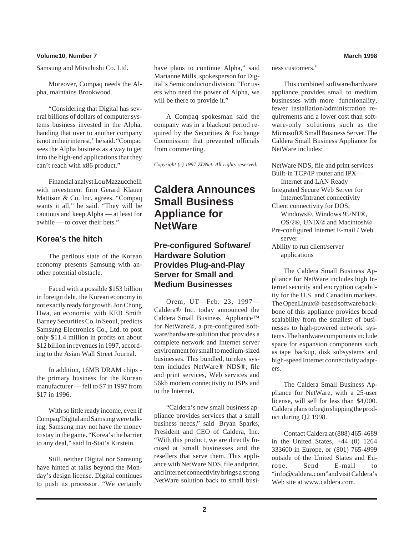#### **Volume10, Number 7 March 1998**

Samsung and Mitsubishi Co. Ltd.

Moreover, Compaq needs the Alpha, maintains Brookwood.

"Considering that Digital has several billions of dollars of computer systems business invested in the Alpha, handing that over to another company is not in their interest," he said. "Compaq sees the Alpha business as a way to get into the high-end applications that they can't reach with x86 product."

Financial analyst Lou Mazzucchelli with investment firm Gerard Klauer Mattison & Co. Inc. agrees. "Compaq wants it all," he said. "They will be cautious and keep Alpha — at least for awhile — to cover their bets."

#### **Korea's the hitch**

The perilous state of the Korean economy presents Samsung with another potential obstacle.

Faced with a possible \$153 billion in foreign debt, the Korean economy in not exactly ready for growth. Jon Chong Hwa, an economist with KEB Smith Barney Securities Co. in Seoul, predicts Samsung Electronics Co., Ltd. to post only \$11.4 million in profits on about \$12 billion in revenues in 1997, according to the Asian Wall Street Journal.

In addition, 16MB DRAM chips the primary business for the Korean manufacturer — fell to \$7 in 1997 from \$17 in 1996.

With so little ready income, even if Compaq/Digital and Samsung were talking, Samsung may not have the money to stay in the game. "Korea's the barrier to any deal," said In-Stat's Kirstein.

Still, neither Digital nor Samsung have hinted at talks beyond the Monday's design license. Digital continues to push its processor. "We certainly have plans to continue Alpha," said Marianne Mills, spokesperson for Digital's Semiconductor division. "For users who need the power of Alpha, we will be there to provide it."

A Compaq spokesman said the company was in a blackout period required by the Securities & Exchange Commission that prevented officials from commenting.

*Copyright (c) 1997 ZDNet. All rights reserved.*

## **Caldera Announces Small Business Appliance for NetWare**

#### **Pre-configured Software/ Hardware Solution Provides Plug-and-Play Server for Small and Medium Businesses**

Orem, UT—Feb. 23, 1997— Caldera® Inc. today announced the Caldera Small Business Appliance™ for NetWare®, a pre-configured software/hardware solution that provides a complete network and Internet server environment for small to medium-sized businesses. This bundled, turnkey system includes NetWare® NDS®, file and print services, Web services and 56kb modem connectivity to ISPs and to the Internet.

"Caldera's new small business appliance provides services that a small business needs," said Bryan Sparks, President and CEO of Caldera, Inc. "With this product, we are directly focused at small businesses and the resellers that serve them. This appliance with NetWare NDS, file and print, and Internet connectivity brings a strong NetWare solution back to small business customers."

This combined software/hardware appliance provides small to medium businesses with more functionality, fewer installation/administration requirements and a lower cost than software-only solutions such as the Microsoft® Small Business Server. The Caldera Small Business Appliance for NetWare includes:

NetWare NDS, file and print services Built-in TCP/IP router and IPX— Internet and LAN Ready Integrated Secure Web Server for Internet/Intranet connectivity Client connectivity for DOS, Windows®, Windows 95/NT®, OS/2®, UNIX® and Macintosh® Pre-configured Internet E-mail / Web server Ability to run client/server applications

The Caldera Small Business Appliance for NetWare includes high Internet security and encryption capability for the U.S. and Canadian markets. The OpenLinux®-based software backbone of this appliance provides broad scalability from the smallest of businesses to high-powered network systems. The hardware components include space for expansion components such as tape backup, disk subsystems and high-speed Internet connectivity adapters.

The Caldera Small Business Appliance for NetWare, with a 25-user license, will sell for less than \$4,000. Caldera plans to begin shipping the product during Q2 1998.

Contact Caldera at (888) 465-4689 in the United States,  $+44$  (0) 1264 333600 in Europe, or (801) 765-4999 outside of the United States and Europe. Send E-mail to "info@caldera.com" and visit Caldera's Web site at www.caldera.com.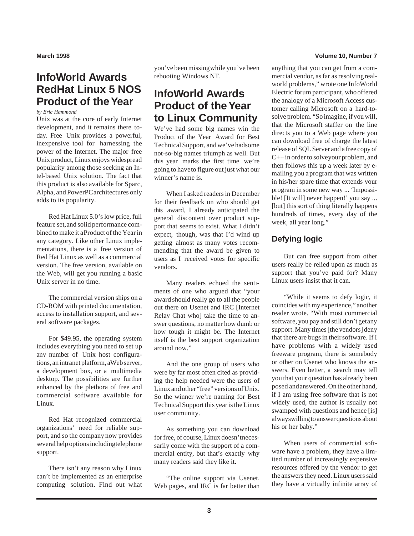# **InfoWorld Awards RedHat Linux 5 NOS Product of the Year**

*by Eric Hammond*

Unix was at the core of early Internet development, and it remains there today. Free Unix provides a powerful, inexpensive tool for harnessing the power of the Internet. The major free Unix product, Linux enjoys widespread popularity among those seeking an Intel-based Unix solution. The fact that this product is also available for Sparc, Alpha, and PowerPC architectures only adds to its popularity.

Red Hat Linux 5.0's low price, full feature set, and solid performance combined to make it a Product of the Year in any category. Like other Linux implementations, there is a free version of Red Hat Linux as well as a commercial version. The free version, available on the Web, will get you running a basic Unix server in no time.

The commercial version ships on a CD-ROM with printed documentation, access to installation support, and several software packages.

For \$49.95, the operating system includes everything you need to set up any number of Unix host configurations, an intranet platform, a Web server, a development box, or a multimedia desktop. The possibilities are further enhanced by the plethora of free and commercial software available for Linux.

Red Hat recognized commercial organizations' need for reliable support, and so the company now provides several help options including telephone support.

There isn't any reason why Linux can't be implemented as an enterprise computing solution. Find out what you've been missing while you've been rebooting Windows NT.

# **InfoWorld Awards Product of the Year to Linux Community**

We've had some big names win the Product of the Year Award for Best Technical Support, and we've had some not-so-big names triumph as well. But this year marks the first time we're going to have to figure out just what our winner's name is.

When I asked readers in December for their feedback on who should get this award, I already anticipated the general discontent over product support that seems to exist. What I didn't expect, though, was that I'd wind up getting almost as many votes recommending that the award be given to users as I received votes for specific vendors.

Many readers echoed the sentiments of one who argued that "your award should really go to all the people out there on Usenet and IRC [Internet Relay Chat who] take the time to answer questions, no matter how dumb or how tough it might be. The Internet itself is the best support organization around now."

And the one group of users who were by far most often cited as providing the help needed were the users of Linux and other "free" versions of Unix. So the winner we're naming for Best Technical Support this year is the Linux user community.

As something you can download for free, of course, Linux doesn't necessarily come with the support of a commercial entity, but that's exactly why many readers said they like it.

"The online support via Usenet, Web pages, and IRC is far better than

#### **March 1998 Volume 10, Number 7**

anything that you can get from a commercial vendor, as far as resolving realworld problems," wrote one InfoWorld Electric forum participant, who offered the analogy of a Microsoft Access customer calling Microsoft on a hard-tosolve problem. "So imagine, if you will, that the Microsoft staffer on the line directs you to a Web page where you can download free of charge the latest release of SQL Server and a free copy of  $C++$  in order to solve your problem, and then follows this up a week later by emailing you a program that was written in his/her spare time that extends your program in some new way ... 'Impossible! [It will] never happen!' you say ... [but] this sort of thing literally happens hundreds of times, every day of the week, all year long."

## **Defying logic**

But can free support from other users really be relied upon as much as support that you've paid for? Many Linux users insist that it can.

"While it seems to defy logic, it coincides with my experience," another reader wrote. "With most commercial software, you pay and still don't get any support. Many times [the vendors] deny that there are bugs in their software. If I have problems with a widely used freeware program, there is somebody or other on Usenet who knows the answers. Even better, a search may tell you that your question has already been posed and answered. On the other hand, if I am using free software that is not widely used, the author is usually not swamped with questions and hence [is] always willing to answer questions about his or her baby."

When users of commercial software have a problem, they have a limited number of increasingly expensive resources offered by the vendor to get the answers they need. Linux users said they have a virtually infinite array of